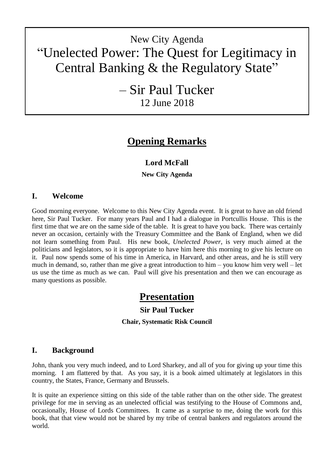# New City Agenda "Unelected Power: The Quest for Legitimacy in Central Banking & the Regulatory State"

– Sir Paul Tucker 12 June 2018

## **Opening Remarks**

## **Lord McFall**

**New City Agenda**

## **I. Welcome**

Good morning everyone. Welcome to this New City Agenda event. It is great to have an old friend here, Sir Paul Tucker. For many years Paul and I had a dialogue in Portcullis House. This is the first time that we are on the same side of the table. It is great to have you back. There was certainly never an occasion, certainly with the Treasury Committee and the Bank of England, when we did not learn something from Paul. His new book, *Unelected Power*, is very much aimed at the politicians and legislators, so it is appropriate to have him here this morning to give his lecture on it. Paul now spends some of his time in America, in Harvard, and other areas, and he is still very much in demand, so, rather than me give a great introduction to him – you know him very well – let us use the time as much as we can. Paul will give his presentation and then we can encourage as many questions as possible.

## **Presentation**

## **Sir Paul Tucker**

**Chair, Systematic Risk Council**

## **I. Background**

John, thank you very much indeed, and to Lord Sharkey, and all of you for giving up your time this morning. I am flattered by that. As you say, it is a book aimed ultimately at legislators in this country, the States, France, Germany and Brussels.

It is quite an experience sitting on this side of the table rather than on the other side. The greatest privilege for me in serving as an unelected official was testifying to the House of Commons and, occasionally, House of Lords Committees. It came as a surprise to me, doing the work for this book, that that view would not be shared by my tribe of central bankers and regulators around the world.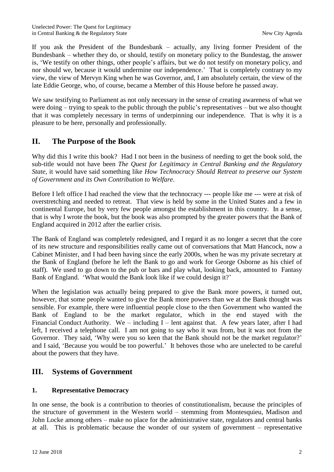If you ask the President of the Bundesbank – actually, any living former President of the Bundesbank – whether they do, or should, testify on monetary policy to the Bundestag, the answer is, 'We testify on other things, other people's affairs, but we do not testify on monetary policy, and nor should we, because it would undermine our independence.' That is completely contrary to my view, the view of Mervyn King when he was Governor, and, I am absolutely certain, the view of the late Eddie George, who, of course, became a Member of this House before he passed away.

We saw testifying to Parliament as not only necessary in the sense of creating awareness of what we were doing – trying to speak to the public through the public's representatives – but we also thought that it was completely necessary in terms of underpinning our independence. That is why it is a pleasure to be here, personally and professionally.

## **II. The Purpose of the Book**

Why did this I write this book? Had I not been in the business of needing to get the book sold, the sub-title would not have been *The Quest for Legitimacy in Central Banking and the Regulatory State*, it would have said something like *How Technocracy Should Retreat to preserve our System of Government and its Own Contribution to Welfare*.

Before I left office I had reached the view that the technocracy --- people like me --- were at risk of overstretching and needed to retreat. That view is held by some in the United States and a few in continental Europe, but by very few people amongst the establishment in this country. In a sense, that is why I wrote the book, but the book was also prompted by the greater powers that the Bank of England acquired in 2012 after the earlier crisis.

The Bank of England was completely redesigned, and I regard it as no longer a secret that the core of its new structure and responsibilities really came out of conversations that Matt Hancock, now a Cabinet Minister, and I had been having since the early 2000s, when he was my private secretary at the Bank of England (before he left the Bank to go and work for George Osborne as his chief of staff). We used to go down to the pub or bars and play what, looking back, amounted to Fantasy Bank of England. 'What would the Bank look like if we could design it?'

When the legislation was actually being prepared to give the Bank more powers, it turned out, however, that some people wanted to give the Bank more powers than we at the Bank thought was sensible. For example, there were influential people close to the then Government who wanted the Bank of England to be the market regulator, which in the end stayed with the Financial Conduct Authority. We – including I – lent against that. A few years later, after I had left, I received a telephone call. I am not going to say who it was from, but it was not from the Governor. They said, 'Why were you so keen that the Bank should not be the market regulator?' and I said, 'Because you would be too powerful.' It behoves those who are unelected to be careful about the powers that they have.

## **III. Systems of Government**

#### **1. Representative Democracy**

In one sense, the book is a contribution to theories of constitutionalism, because the principles of the structure of government in the Western world – stemming from Montesquieu, Madison and John Locke among others – make no place for the administrative state, regulators and central banks at all. This is problematic because the wonder of our system of government – representative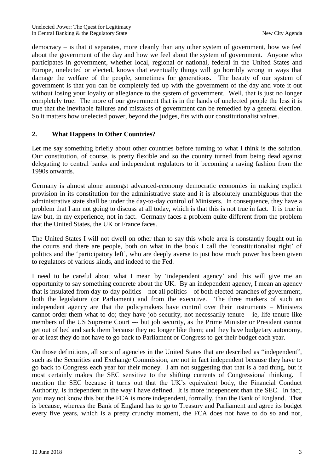democracy – is that it separates, more cleanly than any other system of government, how we feel about the government of the day and how we feel about the system of government. Anyone who participates in government, whether local, regional or national, federal in the United States and Europe, unelected or elected, knows that eventually things will go horribly wrong in ways that damage the welfare of the people, sometimes for generations. The beauty of our system of government is that you can be completely fed up with the government of the day and vote it out without losing your loyalty or allegiance to the system of government. Well, that is just no longer completely true. The more of our government that is in the hands of unelected people the less it is true that the inevitable failures and mistakes of government can be remedied by a general election. So it matters how unelected power, beyond the judges, fits with our constitutionalist values.

#### **2. What Happens In Other Countries?**

Let me say something briefly about other countries before turning to what I think is the solution. Our constitution, of course, is pretty flexible and so the country turned from being dead against delegating to central banks and independent regulators to it becoming a raving fashion from the 1990s onwards.

Germany is almost alone amongst advanced-economy democratic economies in making explicit provision in its constitution for the administrative state and it is absolutely unambiguous that the administrative state shall be under the day-to-day control of Ministers. In consequence, they have a problem that I am not going to discuss at all today, which is that this is not true in fact. It is true in law but, in my experience, not in fact. Germany faces a problem quite different from the problem that the United States, the UK or France faces.

The United States I will not dwell on other than to say this whole area is constantly fought out in the courts and there are people, both on what in the book I call the 'constitutionalist right' of politics and the 'participatory left', who are deeply averse to just how much power has been given to regulators of various kinds, and indeed to the Fed.

I need to be careful about what I mean by 'independent agency' and this will give me an opportunity to say something concrete about the UK. By an independent agency, I mean an agency that is insulated from day-to-day politics – not all politics – of both elected branches of government, both the legislature (or Parliament) and from the executive. The three markers of such an independent agency are that the policymakers have control over their instruments – Ministers cannot order them what to do; they have job security, not necessarily tenure – ie, life tenure like members of the US Supreme Court --- but job security, as the Prime Minister or President cannot get out of bed and sack them because they no longer like them; and they have budgetary autonomy, or at least they do not have to go back to Parliament or Congress to get their budget each year.

On those definitions, all sorts of agencies in the United States that are described as "independent", such as the Securities and Exchange Commission, are not in fact independent because they have to go back to Congress each year for their money. I am not suggesting that that is a bad thing, but it most certainly makes the SEC sensitive to the shifting currents of Congressional thinking. I mention the SEC because it turns out that the UK's equivalent body, the Financial Conduct Authority, is independent in the way I have defined. It is more independent than the SEC. In fact, you may not know this but the FCA is more independent, formally, than the Bank of England. That is because, whereas the Bank of England has to go to Treasury and Parliament and agree its budget every five years, which is a pretty crunchy moment, the FCA does not have to do so and nor,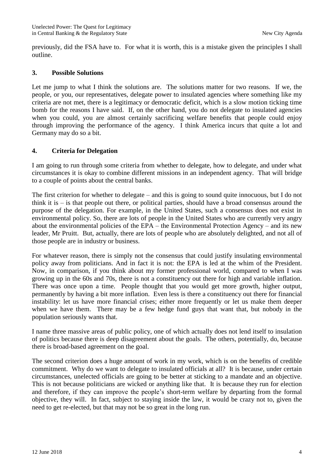previously, did the FSA have to. For what it is worth, this is a mistake given the principles I shall outline.

#### **3. Possible Solutions**

Let me jump to what I think the solutions are. The solutions matter for two reasons. If we, the people, or you, our representatives, delegate power to insulated agencies where something like my criteria are not met, there is a legitimacy or democratic deficit, which is a slow motion ticking time bomb for the reasons I have said. If, on the other hand, you do not delegate to insulated agencies when you could, you are almost certainly sacrificing welfare benefits that people could enjoy through improving the performance of the agency. I think America incurs that quite a lot and Germany may do so a bit.

#### **4. Criteria for Delegation**

I am going to run through some criteria from whether to delegate, how to delegate, and under what circumstances it is okay to combine different missions in an independent agency. That will bridge to a couple of points about the central banks.

The first criterion for whether to delegate – and this is going to sound quite innocuous, but I do not think it is – is that people out there, or political parties, should have a broad consensus around the purpose of the delegation. For example, in the United States, such a consensus does not exist in environmental policy. So, there are lots of people in the United States who are currently very angry about the environmental policies of the EPA – the Environmental Protection Agency – and its new leader, Mr Pruitt. But, actually, there are lots of people who are absolutely delighted, and not all of those people are in industry or business.

For whatever reason, there is simply not the consensus that could justify insulating environmental policy away from politicians. And in fact it is not: the EPA is led at the whim of the President. Now, in comparison, if you think about my former professional world, compared to when I was growing up in the 60s and 70s, there is not a constituency out there for high and variable inflation. There was once upon a time. People thought that you would get more growth, higher output, permanently by having a bit more inflation. Even less is there a constituency out there for financial instability: let us have more financial crises; either more frequently or let us make them deeper when we have them. There may be a few hedge fund guys that want that, but nobody in the population seriously wants that.

I name three massive areas of public policy, one of which actually does not lend itself to insulation of politics because there is deep disagreement about the goals. The others, potentially, do, because there is broad-based agreement on the goal.

The second criterion does a huge amount of work in my work, which is on the benefits of credible commitment. Why do we want to delegate to insulated officials at all? It is because, under certain circumstances, unelected officials are going to be better at sticking to a mandate and an objective. This is not because politicians are wicked or anything like that. It is because they run for election and therefore, if they can improve the people's short-term welfare by departing from the formal objective, they will. In fact, subject to staying inside the law, it would be crazy not to, given the need to get re-elected, but that may not be so great in the long run.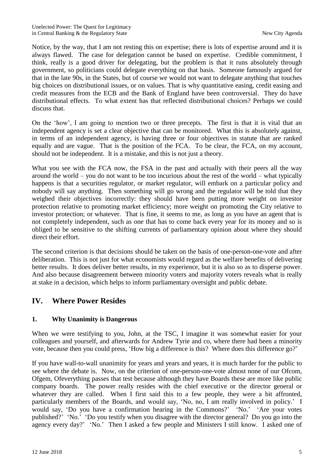Notice, by the way, that I am not resting this on expertise; there is lots of expertise around and it is always flawed. The case for delegation cannot be based on expertise. Credible commitment, I think, really is a good driver for delegating, but the problem is that it runs absolutely through government, so politicians could delegate everything on that basis. Someone famously argued for that in the late 90s, in the States, but of course we would not want to delegate anything that touches big choices on distributional issues, or on values. That is why quantitative easing, credit easing and credit measures from the ECB and the Bank of England have been controversial. They do have distributional effects. To what extent has that reflected distributional choices? Perhaps we could discuss that.

On the 'how', I am going to mention two or three precepts. The first is that it is vital that an independent agency is set a clear objective that can be monitored. What this is absolutely against, in terms of an independent agency, is having three or four objectives in statute that are ranked equally and are vague. That is the position of the FCA. To be clear, the FCA, on my account, should not be independent. It is a mistake, and this is not just a theory.

What you see with the FCA now, the FSA in the past and actually with their peers all the way around the world – you do not want to be too incurious about the rest of the world – what typically happens is that a securities regulator, or market regulator, will embark on a particular policy and nobody will say anything. Then something will go wrong and the regulator will be told that they weighed their objectives incorrectly: they should have been putting more weight on investor protection relative to promoting market efficiency; more weight on promoting the City relative to investor protection; or whatever. That is fine, it seems to me, as long as you have an agent that is not completely independent, such as one that has to come back every year for its money and so is obliged to be sensitive to the shifting currents of parliamentary opinion about where they should direct their effort.

The second criterion is that decisions should be taken on the basis of one-person-one-vote and after deliberation. This is not just for what economists would regard as the welfare benefits of delivering better results. It does deliver better results, in my experience, but it is also so as to disperse power. And also because disagreement between minority voters and majority voters reveals what is really at stake in a decision, which helps to inform parliamentary oversight and public debate.

## **IV. Where Power Resides**

#### **1. Why Unanimity is Dangerous**

When we were testifying to you, John, at the TSC, I imagine it was somewhat easier for your colleagues and yourself, and afterwards for Andrew Tyrie and co, where there had been a minority vote, because then you could press, 'How big a difference is this? Where does this difference go?'

If you have wall-to-wall unanimity for years and years and years, it is much harder for the public to see where the debate is. Now, on the criterion of one-person-one-vote almost none of our Ofcom, Ofgem, Ofeverything passes that test because although they have Boards these are more like public company boards. The power really resides with the chief executive or the director general or whatever they are called. When I first said this to a few people, they were a bit affronted, particularly members of the Boards, and would say, 'No, no, I am really involved in policy.' I would say, 'Do you have a confirmation hearing in the Commons?' 'No.' 'Are your votes published?' 'No.' 'Do you testify when you disagree with the director general? Do you go into the agency every day?' 'No.' Then I asked a few people and Ministers I still know. I asked one of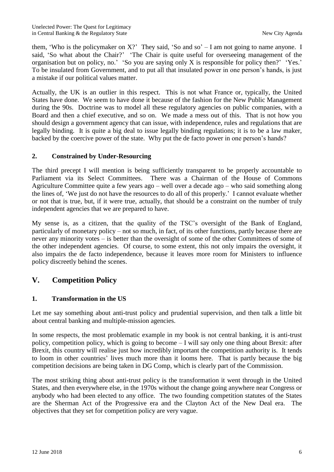them, 'Who is the policymaker on  $X$ ?' They said, 'So and so' – I am not going to name anyone. I said, 'So what about the Chair?' 'The Chair is quite useful for overseeing management of the organisation but on policy, no.' 'So you are saying only X is responsible for policy then?' 'Yes.' To be insulated from Government, and to put all that insulated power in one person's hands, is just a mistake if our political values matter.

Actually, the UK is an outlier in this respect. This is not what France or, typically, the United States have done. We seem to have done it because of the fashion for the New Public Management during the 90s. Doctrine was to model all these regulatory agencies on public companies, with a Board and then a chief executive, and so on. We made a mess out of this. That is not how you should design a government agency that can issue, with independence, rules and regulations that are legally binding. It is quite a big deal to issue legally binding regulations; it is to be a law maker, backed by the coercive power of the state. Why put the de facto power in one person's hands?

#### **2. Constrained by Under-Resourcing**

The third precept I will mention is being sufficiently transparent to be properly accountable to Parliament via its Select Committees. There was a Chairman of the House of Commons Agriculture Committee quite a few years ago – well over a decade ago – who said something along the lines of, 'We just do not have the resources to do all of this properly.' I cannot evaluate whether or not that is true, but, if it were true, actually, that should be a constraint on the number of truly independent agencies that we are prepared to have.

My sense is, as a citizen, that the quality of the TSC's oversight of the Bank of England, particularly of monetary policy – not so much, in fact, of its other functions, partly because there are never any minority votes – is better than the oversight of some of the other Committees of some of the other independent agencies. Of course, to some extent, this not only impairs the oversight, it also impairs the de facto independence, because it leaves more room for Ministers to influence policy discreetly behind the scenes.

## **V. Competition Policy**

#### **1. Transformation in the US**

Let me say something about anti-trust policy and prudential supervision, and then talk a little bit about central banking and multiple-mission agencies.

In some respects, the most problematic example in my book is not central banking, it is anti-trust policy, competition policy, which is going to become – I will say only one thing about Brexit: after Brexit, this country will realise just how incredibly important the competition authority is. It tends to loom in other countries' lives much more than it looms here. That is partly because the big competition decisions are being taken in DG Comp, which is clearly part of the Commission.

The most striking thing about anti-trust policy is the transformation it went through in the United States, and then everywhere else, in the 1970s without the change going anywhere near Congress or anybody who had been elected to any office. The two founding competition statutes of the States are the Sherman Act of the Progressive era and the Clayton Act of the New Deal era. The objectives that they set for competition policy are very vague.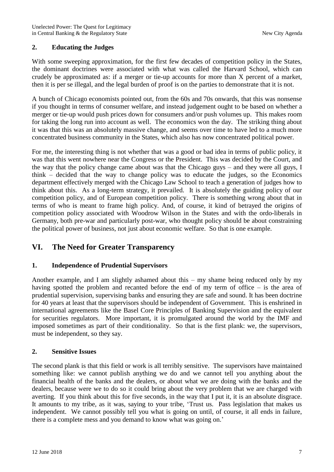#### **2. Educating the Judges**

With some sweeping approximation, for the first few decades of competition policy in the States, the dominant doctrines were associated with what was called the Harvard School, which can crudely be approximated as: if a merger or tie-up accounts for more than X percent of a market, then it is per se illegal, and the legal burden of proof is on the parties to demonstrate that it is not.

A bunch of Chicago economists pointed out, from the 60s and 70s onwards, that this was nonsense if you thought in terms of consumer welfare, and instead judgement ought to be based on whether a merger or tie-up would push prices down for consumers and/or push volumes up. This makes room for taking the long run into account as well. The economics won the day. The striking thing about it was that this was an absolutely massive change, and seems over time to have led to a much more concentrated business community in the States, which also has now concentrated political power.

For me, the interesting thing is not whether that was a good or bad idea in terms of public policy, it was that this went nowhere near the Congress or the President. This was decided by the Court, and the way that the policy change came about was that the Chicago guys – and they were all guys, I think – decided that the way to change policy was to educate the judges, so the Economics department effectively merged with the Chicago Law School to teach a generation of judges how to think about this. As a long-term strategy, it prevailed. It is absolutely the guiding policy of our competition policy, and of European competition policy. There is something wrong about that in terms of who is meant to frame high policy. And, of course, it kind of betrayed the origins of competition policy associated with Woodrow Wilson in the States and with the ordo-liberals in Germany, both pre-war and particularly post-war, who thought policy should be about constraining the political power of business, not just about economic welfare. So that is one example.

## **VI. The Need for Greater Transparency**

#### **1. Independence of Prudential Supervisors**

Another example, and I am slightly ashamed about this – my shame being reduced only by my having spotted the problem and recanted before the end of my term of office – is the area of prudential supervision, supervising banks and ensuring they are safe and sound. It has been doctrine for 40 years at least that the supervisors should be independent of Government. This is enshrined in international agreements like the Basel Core Principles of Banking Supervision and the equivalent for securities regulators. More important, it is promulgated around the world by the IMF and imposed sometimes as part of their conditionality. So that is the first plank: we, the supervisors, must be independent, so they say.

#### **2. Sensitive Issues**

The second plank is that this field or work is all terribly sensitive. The supervisors have maintained something like: we cannot publish anything we do and we cannot tell you anything about the financial health of the banks and the dealers, or about what we are doing with the banks and the dealers, because were we to do so it could bring about the very problem that we are charged with averting. If you think about this for five seconds, in the way that I put it, it is an absolute disgrace. It amounts to my tribe, as it was, saying to your tribe, 'Trust us. Pass legislation that makes us independent. We cannot possibly tell you what is going on until, of course, it all ends in failure, there is a complete mess and you demand to know what was going on.'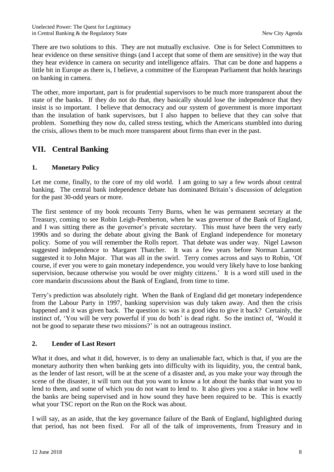There are two solutions to this. They are not mutually exclusive. One is for Select Committees to hear evidence on these sensitive things (and I accept that some of them are sensitive) in the way that they hear evidence in camera on security and intelligence affairs. That can be done and happens a little bit in Europe as there is, I believe, a committee of the European Parliament that holds hearings on banking in camera.

The other, more important, part is for prudential supervisors to be much more transparent about the state of the banks. If they do not do that, they basically should lose the independence that they insist is so important. I believe that democracy and our system of government is more important than the insulation of bank supervisors, but I also happen to believe that they can solve that problem. Something they now do, called stress testing, which the Americans stumbled into during the crisis, allows them to be much more transparent about firms than ever in the past.

## **VII. Central Banking**

#### **1. Monetary Policy**

Let me come, finally, to the core of my old world. I am going to say a few words about central banking. The central bank independence debate has dominated Britain's discussion of delegation for the past 30-odd years or more.

The first sentence of my book recounts Terry Burns, when he was permanent secretary at the Treasury, coming to see Robin Leigh-Pemberton, when he was governor of the Bank of England, and I was sitting there as the governor's private secretary. This must have been the very early 1990s and so during the debate about giving the Bank of England independence for monetary policy. Some of you will remember the Rolls report. That debate was under way. Nigel Lawson suggested independence to Margaret Thatcher. It was a few years before Norman Lamont suggested it to John Major. That was all in the swirl. Terry comes across and says to Robin, 'Of course, if ever you were to gain monetary independence, you would very likely have to lose banking supervision, because otherwise you would be over mighty citizens.' It is a word still used in the core mandarin discussions about the Bank of England, from time to time.

Terry's prediction was absolutely right. When the Bank of England did get monetary independence from the Labour Party in 1997, banking supervision was duly taken away. And then the crisis happened and it was given back. The question is: was it a good idea to give it back? Certainly, the instinct of, 'You will be very powerful if you do both' is dead right. So the instinct of, 'Would it not be good to separate these two missions?' is not an outrageous instinct.

#### **2. Lender of Last Resort**

What it does, and what it did, however, is to deny an unalienable fact, which is that, if you are the monetary authority then when banking gets into difficulty with its liquidity, you, the central bank, as the lender of last resort, will be at the scene of a disaster and, as you make your way through the scene of the disaster, it will turn out that you want to know a lot about the banks that want you to lend to them, and some of which you do not want to lend to. It also gives you a stake in how well the banks are being supervised and in how sound they have been required to be. This is exactly what your TSC report on the Run on the Rock was about.

I will say, as an aside, that the key governance failure of the Bank of England, highlighted during that period, has not been fixed. For all of the talk of improvements, from Treasury and in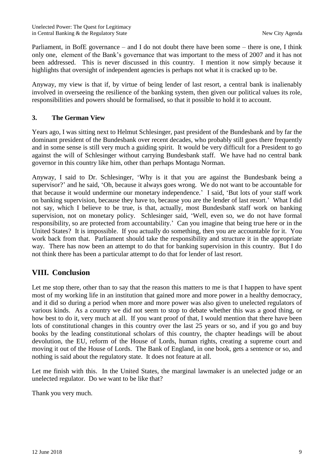Parliament, in BofE governance – and I do not doubt there have been some – there is one, I think only one, element of the Bank's governance that was important to the mess of 2007 and it has not been addressed. This is never discussed in this country. I mention it now simply because it highlights that oversight of independent agencies is perhaps not what it is cracked up to be.

Anyway, my view is that if, by virtue of being lender of last resort, a central bank is inalienably involved in overseeing the resilience of the banking system, then given our political values its role, responsibilities and powers should be formalised, so that it possible to hold it to account.

#### **3. The German View**

Years ago, I was sitting next to Helmut Schlesinger, past president of the Bundesbank and by far the dominant president of the Bundesbank over recent decades, who probably still goes there frequently and in some sense is still very much a guiding spirit. It would be very difficult for a President to go against the will of Schlesinger without carrying Bundesbank staff. We have had no central bank governor in this country like him, other than perhaps Montagu Norman.

Anyway, I said to Dr. Schlesinger, 'Why is it that you are against the Bundesbank being a supervisor?' and he said, 'Oh, because it always goes wrong. We do not want to be accountable for that because it would undermine our monetary independence.' I said, 'But lots of your staff work on banking supervision, because they have to, because you are the lender of last resort.' What I did not say, which I believe to be true, is that, actually, most Bundesbank staff work on banking supervision, not on monetary policy. Schlesinger said, 'Well, even so, we do not have formal responsibility, so are protected from accountability.' Can you imagine that being true here or in the United States? It is impossible. If you actually do something, then you are accountable for it. You work back from that. Parliament should take the responsibility and structure it in the appropriate way. There has now been an attempt to do that for banking supervision in this country. But I do not think there has been a particular attempt to do that for lender of last resort.

#### **VIII. Conclusion**

Let me stop there, other than to say that the reason this matters to me is that I happen to have spent most of my working life in an institution that gained more and more power in a healthy democracy, and it did so during a period when more and more power was also given to unelected regulators of various kinds. As a country we did not seem to stop to debate whether this was a good thing, or how best to do it, very much at all. If you want proof of that, I would mention that there have been lots of constitutional changes in this country over the last 25 years or so, and if you go and buy books by the leading constitutional scholars of this country, the chapter headings will be about devolution, the EU, reform of the House of Lords, human rights, creating a supreme court and moving it out of the House of Lords. The Bank of England, in one book, gets a sentence or so, and nothing is said about the regulatory state. It does not feature at all.

Let me finish with this. In the United States, the marginal lawmaker is an unelected judge or an unelected regulator. Do we want to be like that?

Thank you very much.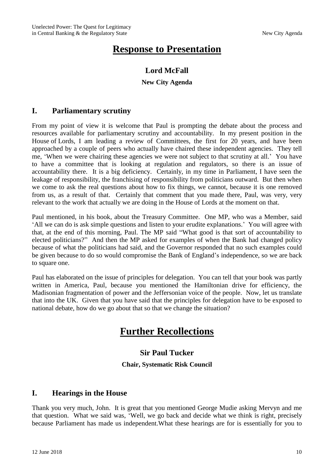## **Response to Presentation**

## **Lord McFall**

#### **New City Agenda**

## **I. Parliamentary scrutiny**

From my point of view it is welcome that Paul is prompting the debate about the process and resources available for parliamentary scrutiny and accountability. In my present position in the House of Lords, I am leading a review of Committees, the first for 20 years, and have been approached by a couple of peers who actually have chaired these independent agencies. They tell me, 'When we were chairing these agencies we were not subject to that scrutiny at all.' You have to have a committee that is looking at regulation and regulators, so there is an issue of accountability there. It is a big deficiency. Certainly, in my time in Parliament, I have seen the leakage of responsibility, the franchising of responsibility from politicians outward. But then when we come to ask the real questions about how to fix things, we cannot, because it is one removed from us, as a result of that. Certainly that comment that you made there, Paul, was very, very relevant to the work that actually we are doing in the House of Lords at the moment on that.

Paul mentioned, in his book, about the Treasury Committee. One MP, who was a Member, said 'All we can do is ask simple questions and listen to your erudite explanations.' You will agree with that, at the end of this morning, Paul. The MP said "What good is that sort of accountability to elected politicians?" And then the MP asked for examples of when the Bank had changed policy because of what the politicians had said, and the Governor responded that no such examples could be given because to do so would compromise the Bank of England's independence, so we are back to square one.

Paul has elaborated on the issue of principles for delegation. You can tell that your book was partly written in America, Paul, because you mentioned the Hamiltonian drive for efficiency, the Madisonian fragmentation of power and the Jeffersonian voice of the people. Now, let us translate that into the UK. Given that you have said that the principles for delegation have to be exposed to national debate, how do we go about that so that we change the situation?

## **Further Recollections**

## **Sir Paul Tucker**

#### **Chair, Systematic Risk Council**

## **I. Hearings in the House**

Thank you very much, John. It is great that you mentioned George Mudie asking Mervyn and me that question. What we said was, 'Well, we go back and decide what we think is right, precisely because Parliament has made us independent.What these hearings are for is essentially for you to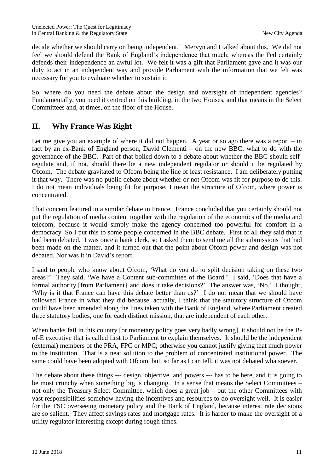decide whether we should carry on being independent.' Mervyn and I talked about this. We did not feel we should defend the Bank of England's independence that much; whereas the Fed certainly defends their independence an awful lot. We felt it was a gift that Parliament gave and it was our duty to act in an independent way and provide Parliament with the information that we felt was necessary for you to evaluate whether to sustain it.

So, where do you need the debate about the design and oversight of independent agencies? Fundamentally, you need it centred on this building, in the two Houses, and that means in the Select Committees and, at times, on the floor of the House.

## **II. Why France Was Right**

Let me give you an example of where it did not happen. A year or so ago there was a report – in fact by an ex-Bank of England person, David Clementi – on the new BBC: what to do with the governance of the BBC. Part of that boiled down to a debate about whether the BBC should selfregulate and, if not, should there be a new independent regulator or should it be regulated by Ofcom. The debate gravitated to Ofcom being the line of least resistance. I am deliberately putting it that way. There was no public debate about whether or not Ofcom was fit for purpose to do this. I do not mean individuals being fit for purpose, I mean the structure of Ofcom, where power is concentrated.

That concern featured in a similar debate in France. France concluded that you certainly should not put the regulation of media content together with the regulation of the economics of the media and telecom, because it would simply make the agency concerned too powerful for comfort in a democracy. So I put this to some people concerned in the BBC debate. First of all they said that it had been debated. I was once a bank clerk, so I asked them to send me all the submissions that had been made on the matter, and it turned out that the point about Ofcom power and design was not debated. Nor was it in David's report.

I said to people who know about Ofcom, 'What do you do to split decision taking on these two areas?' They said, 'We have a Content sub-committee of the Board.' I said, 'Does that have a formal authority [from Parliament} and does it take decisions?' The answer was, 'No.' I thought, 'Why is it that France can have this debate better than us?' I do not mean that we should have followed France in what they did because, actually, I think that the statutory structure of Ofcom could have been amended along the lines taken with the Bank of England, where Parliament created three statutory bodies, one for each distinct mission, that are independent of each other.

When banks fail in this country [or monetary policy goes very badly wrong], it should not be the Bof-E executive that is called first to Parliament to explain themselves. It should be the independent (external) members of the PRA, FPC or MPC; otherwise you cannot justify giving that much power to the institution. That is a neat solution to the problem of concentrated institutional power. The same could have been adopted with Ofcom, but, so far as I can tell, it was not debated whatsoever.

The debate about these things --- design, objective and powers --- has to be here, and it is going to be most crunchy when something big is changing. In a sense that means the Select Committees – not only the Treasury Select Committee, which does a great job – but the other Committees with vast responsibilities somehow having the incentives and resources to do oversight well. It is easier for the TSC overseeing monetary policy and the Bank of England, because interest rate decisions are so salient. They affect savings rates and mortgage rates. It is harder to make the oversight of a utility regulator interesting except during rough times.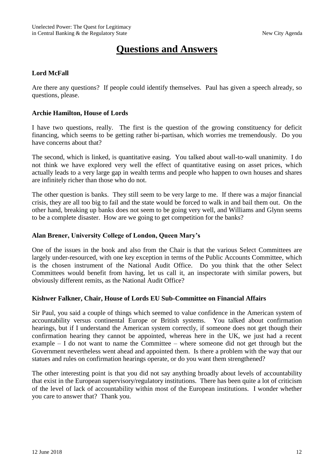## **Questions and Answers**

#### **Lord McFall**

Are there any questions? If people could identify themselves. Paul has given a speech already, so questions, please.

#### **Archie Hamilton, House of Lords**

I have two questions, really. The first is the question of the growing constituency for deficit financing, which seems to be getting rather bi-partisan, which worries me tremendously. Do you have concerns about that?

The second, which is linked, is quantitative easing. You talked about wall-to-wall unanimity. I do not think we have explored very well the effect of quantitative easing on asset prices, which actually leads to a very large gap in wealth terms and people who happen to own houses and shares are infinitely richer than those who do not.

The other question is banks. They still seem to be very large to me. If there was a major financial crisis, they are all too big to fail and the state would be forced to walk in and bail them out. On the other hand, breaking up banks does not seem to be going very well, and Williams and Glynn seems to be a complete disaster. How are we going to get competition for the banks?

#### **Alan Brener, University College of London, Queen Mary's**

One of the issues in the book and also from the Chair is that the various Select Committees are largely under-resourced, with one key exception in terms of the Public Accounts Committee, which is the chosen instrument of the National Audit Office. Do you think that the other Select Committees would benefit from having, let us call it, an inspectorate with similar powers, but obviously different remits, as the National Audit Office?

#### **Kishwer Falkner, Chair, House of Lords EU Sub-Committee on Financial Affairs**

Sir Paul, you said a couple of things which seemed to value confidence in the American system of accountability versus continental Europe or British systems. You talked about confirmation hearings, but if I understand the American system correctly, if someone does not get though their confirmation hearing they cannot be appointed, whereas here in the UK, we just had a recent example – I do not want to name the Committee – where someone did not get through but the Government nevertheless went ahead and appointed them. Is there a problem with the way that our statues and rules on confirmation hearings operate, or do you want them strengthened?

The other interesting point is that you did not say anything broadly about levels of accountability that exist in the European supervisory/regulatory institutions. There has been quite a lot of criticism of the level of lack of accountability within most of the European institutions. I wonder whether you care to answer that? Thank you.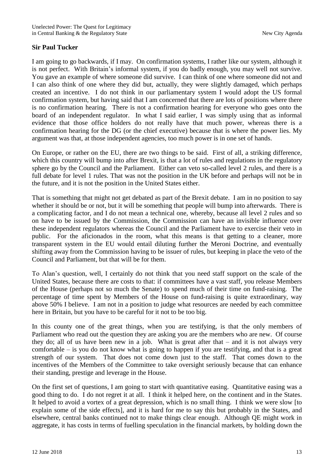#### **Sir Paul Tucker**

I am going to go backwards, if I may. On confirmation systems, I rather like our system, although it is not perfect. With Britain's informal system, if you do badly enough, you may well not survive. You gave an example of where someone did survive. I can think of one where someone did not and I can also think of one where they did but, actually, they were slightly damaged, which perhaps created an incentive. I do not think in our parliamentary system I would adopt the US formal confirmation system, but having said that I am concerned that there are lots of positions where there is no confirmation hearing. There is not a confirmation hearing for everyone who goes onto the board of an independent regulator. In what I said earlier, I was simply using that as informal evidence that those office holders do not really have that much power, whereas there is a confirmation hearing for the DG (or the chief executive) because that is where the power lies. My argument was that, at those independent agencies, too much power is in one set of hands.

On Europe, or rather on the EU, there are two things to be said. First of all, a striking difference, which this country will bump into after Brexit, is that a lot of rules and regulations in the regulatory sphere go by the Council and the Parliament. Either can veto so-called level 2 rules, and there is a full debate for level 1 rules. That was not the position in the UK before and perhaps will not be in the future, and it is not the position in the United States either.

That is something that might not get debated as part of the Brexit debate. I am in no position to say whether it should be or not, but it will be something that people will bump into afterwards. There is a complicating factor, and I do not mean a technical one, whereby, because all level 2 rules and so on have to be issued by the Commission, the Commission can have an invisible influence over these independent regulators whereas the Council and the Parliament have to exercise their veto in public. For the aficionados in the room, what this means is that getting to a cleaner, more transparent system in the EU would entail diluting further the Meroni Doctrine, and eventually shifting away from the Commission having to be issuer of rules, but keeping in place the veto of the Council and Parliament, but that will be for them.

To Alan's question, well, I certainly do not think that you need staff support on the scale of the United States, because there are costs to that: if committees have a vast staff, you release Members of the House (perhaps not so much the Senate) to spend much of their time on fund-raising. The percentage of time spent by Members of the House on fund-raising is quite extraordinary, way above 50% I believe. I am not in a position to judge what resources are needed by each committee here in Britain, but you have to be careful for it not to be too big.

In this county one of the great things, when you are testifying, is that the only members of Parliament who read out the question they are asking you are the members who are new. Of course they do; all of us have been new in a job. What is great after that – and it is not always very comfortable – is you do not know what is going to happen if you are testifying, and that is a great strength of our system. That does not come down just to the staff. That comes down to the incentives of the Members of the Committee to take oversight seriously because that can enhance their standing, prestige and leverage in the House.

On the first set of questions, I am going to start with quantitative easing. Quantitative easing was a good thing to do. I do not regret it at all. I think it helped here, on the continent and in the States. It helped to avoid a vortex of a great depression, which is no small thing. I think we were slow [to explain some of the side effects], and it is hard for me to say this but probably in the States, and elsewhere, central banks continued not to make things clear enough. Although QE might work in aggregate, it has costs in terms of fuelling speculation in the financial markets, by holding down the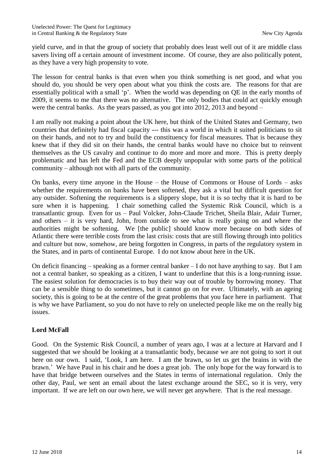yield curve, and in that the group of society that probably does least well out of it are middle class savers living off a certain amount of investment income. Of course, they are also politically potent, as they have a very high propensity to vote.

The lesson for central banks is that even when you think something is net good, and what you should do, you should be very open about what you think the costs are. The reasons for that are essentially political with a small 'p'. When the world was depending on QE in the early months of 2009, it seems to me that there was no alternative. The only bodies that could act quickly enough were the central banks. As the years passed, as you got into 2012, 2013 and beyond –

I am really not making a point about the UK here, but think of the United States and Germany, two countries that definitely had fiscal capacity --- this was a world in which it suited politicians to sit on their hands, and not to try and build the constituency for fiscal measures. That is because they knew that if they did sit on their hands, the central banks would have no choice but to reinvent themselves as the US cavalry and continue to do more and more and more. This is pretty deeply problematic and has left the Fed and the ECB deeply unpopular with some parts of the political community – although not with all parts of the community.

On banks, every time anyone in the House – the House of Commons or House of Lords – asks whether the requirements on banks have been softened, they ask a vital but difficult question for any outsider. Softening the requirements is a slippery slope, but it is so techy that it is hard to be sure when it is happening. I chair something called the Systemic Risk Council, which is a transatlantic group. Even for us – Paul Volcker, John-Claude Trichet, Sheila Blair, Adair Turner, and others – it is very hard, John, from outside to see what is really going on and where the authorities might be softening. We [the public] should know more because on both sides of Atlantic there were terrible costs from the last crisis: costs that are still flowing through into politics and culture but now, somehow, are being forgotten in Congress, in parts of the regulatory system in the States, and in parts of continental Europe. I do not know about here in the UK.

On deficit financing – speaking as a former central banker – I do not have anything to say. But I am not a central banker, so speaking as a citizen, I want to underline that this is a long-running issue. The easiest solution for democracies is to buy their way out of trouble by borrowing money. That can be a sensible thing to do sometimes, but it cannot go on for ever. Ultimately, with an ageing society, this is going to be at the centre of the great problems that you face here in parliament. That is why we have Parliament, so you do not have to rely on unelected people like me on the really big issues.

#### **Lord McFall**

Good. On the Systemic Risk Council, a number of years ago, I was at a lecture at Harvard and I suggested that we should be looking at a transatlantic body, because we are not going to sort it out here on our own. I said, 'Look, I am here. I am the brawn, so let us get the brains in with the brawn.' We have Paul in his chair and he does a great job. The only hope for the way forward is to have that bridge between ourselves and the States in terms of international regulation. Only the other day, Paul, we sent an email about the latest exchange around the SEC, so it is very, very important. If we are left on our own here, we will never get anywhere. That is the real message.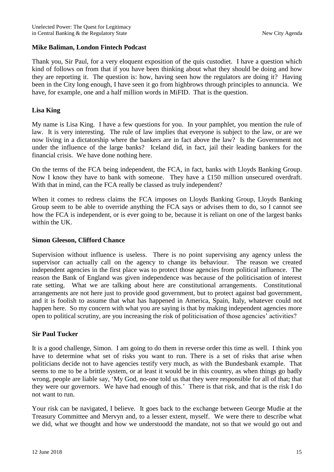#### **Mike Baliman, London Fintech Podcast**

Thank you, Sir Paul, for a very eloquent exposition of the quis custodiet. I have a question which kind of follows on from that if you have been thinking about what they should be doing and how they are reporting it. The question is: how, having seen how the regulators are doing it? Having been in the City long enough, I have seen it go from highbrows through principles to annuncia. We have, for example, one and a half million words in MiFID. That is the question.

#### **Lisa King**

My name is Lisa King. I have a few questions for you. In your pamphlet, you mention the rule of law. It is very interesting. The rule of law implies that everyone is subject to the law, or are we now living in a dictatorship where the bankers are in fact above the law? Is the Government not under the influence of the large banks? Iceland did, in fact, jail their leading bankers for the financial crisis. We have done nothing here.

On the terms of the FCA being independent, the FCA, in fact, banks with Lloyds Banking Group. Now I know they have to bank with someone. They have a £150 million unsecured overdraft. With that in mind, can the FCA really be classed as truly independent?

When it comes to redress claims the FCA imposes on Lloyds Banking Group, Lloyds Banking Group seem to be able to override anything the FCA says or advises them to do, so I cannot see how the FCA is independent, or is ever going to be, because it is reliant on one of the largest banks within the UK.

#### **Simon Gleeson, Clifford Chance**

Supervision without influence is useless. There is no point supervising any agency unless the supervisor can actually call on the agency to change its behaviour. The reason we created independent agencies in the first place was to protect those agencies from political influence. The reason the Bank of England was given independence was because of the politicisation of interest rate setting. What we are talking about here are constitutional arrangements. Constitutional arrangements are not here just to provide good government, but to protect against bad government, and it is foolish to assume that what has happened in America, Spain, Italy, whatever could not happen here. So my concern with what you are saying is that by making independent agencies more open to political scrutiny, are you increasing the risk of politicisation of those agencies' activities?

#### **Sir Paul Tucker**

It is a good challenge, Simon. I am going to do them in reverse order this time as well. I think you have to determine what set of risks you want to run. There is a set of risks that arise when politicians decide not to have agencies testify very much, as with the Bundesbank example. That seems to me to be a brittle system, or at least it would be in this country, as when things go badly wrong, people are liable say, 'My God, no-one told us that they were responsible for all of that; that they were our governors. We have had enough of this.' There is that risk, and that is the risk I do not want to run.

Your risk can be navigated, I believe. It goes back to the exchange between George Mudie at the Treasury Committee and Mervyn and, to a lesser extent, myself. We were there to describe what we did, what we thought and how we understoodd the mandate, not so that we would go out and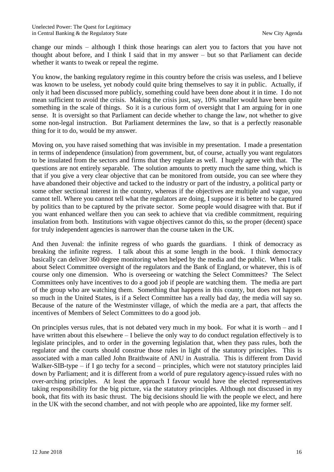change our minds – although I think those hearings can alert you to factors that you have not thought about before, and I think I said that in my answer – but so that Parliament can decide whether it wants to tweak or repeal the regime.

You know, the banking regulatory regime in this country before the crisis was useless, and I believe was known to be useless, yet nobody could quite bring themselves to say it in public. Actually, if only it had been discussed more publicly, something could have been done about it in time. I do not mean sufficient to avoid the crisis. Making the crisis just, say, 10% smaller would have been quite something in the scale of things. So it is a curious form of oversight that I am arguing for in one sense. It is oversight so that Parliament can decide whether to change the law, not whether to give some non-legal instruction. But Parliament determines the law, so that is a perfectly reasonable thing for it to do, would be my answer.

Moving on, you have raised something that was invisible in my presentation. I made a presentation in terms of independence (insulation) from government, but, of course, actually you want regulators to be insulated from the sectors and firms that they regulate as well. I hugely agree with that. The questions are not entirely separable. The solution amounts to pretty much the same thing, which is that if you give a very clear objective that can be monitored from outside, you can see where they have abandoned their objective and tacked to the industry or part of the industry, a political party or some other sectional interest in the country, whereas if the objectives are multiple and vague, you cannot tell. Where you cannot tell what the regulators are doing, I suppose it is better to be captured by politics than to be captured by the private sector. Some people would disagree with that. But if you want enhanced welfare then you can seek to achieve that via credible commitment, requiring insulation from both. Institutions with vague objectives cannot do this, so the proper (decent) space for truly independent agencies is narrower than the course taken in the UK.

And then Juvenal: the infinite regress of who guards the guardians. I think of democracy as breaking the infinite regress. I talk about this at some length in the book. I think democracy basically can deliver 360 degree monitoring when helped by the media and the public. When I talk about Select Committee oversight of the regulators and the Bank of England, or whatever, this is of course only one dimension. Who is overseeing or watching the Select Committees? The Select Committees only have incentives to do a good job if people are watching them. The media are part of the group who are watching them. Something that happens in this county, but does not happen so much in the United States, is if a Select Committee has a really bad day, the media will say so. Because of the nature of the Westminster village, of which the media are a part, that affects the incentives of Members of Select Committees to do a good job.

On principles versus rules, that is not debated very much in my book. For what it is worth – and I have written about this elsewhere – I believe the only way to do conduct regulation effectively is to legislate principles, and to order in the governing legislation that, when they pass rules, both the regulator and the courts should construe those rules in light of the statutory principles. This is associated with a man called John Braithwaite of ANU in Australia. This is different from David Walker-SIB-type – if I go techy for a second – principles, which were not statutory principles laid down by Parliament; and it is different from a world of pure regulatory agency-issued rules with no over-arching principles. At least the approach I favour would have the elected representatives taking responsibility for the big picture, via the statutory principles. Although not discussed in my book, that fits with its basic thrust. The big decisions should lie with the people we elect, and here in the UK with the second chamber, and not with people who are appointed, like my former self.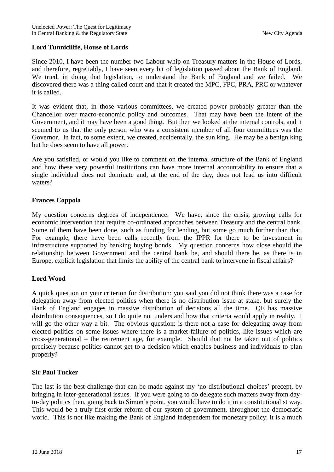#### **Lord Tunnicliffe, House of Lords**

Since 2010, I have been the number two Labour whip on Treasury matters in the House of Lords, and therefore, regrettably, I have seen every bit of legislation passed about the Bank of England. We tried, in doing that legislation, to understand the Bank of England and we failed. We discovered there was a thing called court and that it created the MPC, FPC, PRA, PRC or whatever it is called.

It was evident that, in those various committees, we created power probably greater than the Chancellor over macro-economic policy and outcomes. That may have been the intent of the Government, and it may have been a good thing. But then we looked at the internal controls, and it seemed to us that the only person who was a consistent member of all four committees was the Governor. In fact, to some extent, we created, accidentally, the sun king. He may be a benign king but he does seem to have all power.

Are you satisfied, or would you like to comment on the internal structure of the Bank of England and how these very powerful institutions can have more internal accountability to ensure that a single individual does not dominate and, at the end of the day, does not lead us into difficult waters?

#### **Frances Coppola**

My question concerns degrees of independence. We have, since the crisis, growing calls for economic intervention that require co-ordinated approaches between Treasury and the central bank. Some of them have been done, such as funding for lending, but some go much further than that. For example, there have been calls recently from the IPPR for there to be investment in infrastructure supported by banking buying bonds. My question concerns how close should the relationship between Government and the central bank be, and should there be, as there is in Europe, explicit legislation that limits the ability of the central bank to intervene in fiscal affairs?

#### **Lord Wood**

A quick question on your criterion for distribution: you said you did not think there was a case for delegation away from elected politics when there is no distribution issue at stake, but surely the Bank of England engages in massive distribution of decisions all the time. QE has massive distribution consequences, so I do quite not understand how that criteria would apply in reality. I will go the other way a bit. The obvious question: is there not a case for delegating away from elected politics on some issues where there is a market failure of politics, like issues which are cross-generational – the retirement age, for example. Should that not be taken out of politics precisely because politics cannot get to a decision which enables business and individuals to plan properly?

#### **Sir Paul Tucker**

The last is the best challenge that can be made against my 'no distributional choices' precept, by bringing in inter-generational issues. If you were going to do delegate such matters away from dayto-day politics then, going back to Simon's point, you would have to do it in a constitutionalist way. This would be a truly first-order reform of our system of government, throughout the democratic world. This is not like making the Bank of England independent for monetary policy; it is a much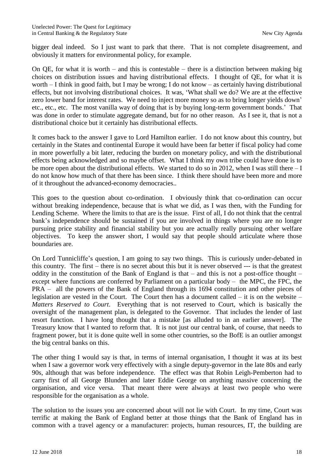bigger deal indeed. So I just want to park that there. That is not complete disagreement, and obviously it matters for environmental policy, for example.

On QE, for what it is worth – and this is contestable – there is a distinction between making big choices on distribution issues and having distributional effects. I thought of QE, for what it is worth – I think in good faith, but I may be wrong; I do not know – as certainly having distributional effects, but not involving distributional choices. It was, 'What shall we do? We are at the effective zero lower band for interest rates. We need to inject more money so as to bring longer yields down' etc., etc., etc. The most vanilla way of doing that is by buying long-term government bonds.' That was done in order to stimulate aggregate demand, but for no other reason. As I see it, that is not a distributional choice but it certainly has distributional effects.

It comes back to the answer I gave to Lord Hamilton earlier. I do not know about this country, but certainly in the States and continental Europe it would have been far better if fiscal policy had come in more powerfully a bit later, reducing the burden on monetary policy, and with the distributional effects being acknowledged and so maybe offset. What I think my own tribe could have done is to be more open about the distributional effects. We started to do so in 2012, when I was still there – I do not know how much of that there has been since. I think there should have been more and more of it throughout the advanced-economy democracies..

This goes to the question about co-ordination. I obviously think that co-ordination can occur without breaking independence, because that is what we did, as I was then, with the Funding for Lending Scheme. Where the limits to that are is the issue. First of all, I do not think that the central bank's independence should be sustained if you are involved in things where you are no longer pursuing price stability and financial stability but you are actually really pursuing other welfare objectives. To keep the answer short, I would say that people should articulate where those boundaries are.

On Lord Tunnicliffe's question, I am going to say two things. This is curiously under-debated in this country. The first – there is no secret about this but it is never observed --- is that the greatest oddity in the constitution of the Bank of England is that – and this is not a post-office thought – except where functions are conferred by Parliament on a particular body – the MPC, the FPC, the PRA – all the powers of the Bank of England through its 1694 constitution and other pieces of legislation are vested in the Court. The Court then has a document called  $-$  it is on the website  $-$ *Matters Reserved to Court*. Everything that is not reserved to Court, which is basically the oversight of the management plan, is delegated to the Governor. That includes the lender of last resort function. I have long thought that a mistake [as alluded to in an earlier answer]. The Treasury know that I wanted to reform that. It is not just our central bank, of course, that needs to fragment power, but it is done quite well in some other countries, so the BofE is an outlier amongst the big central banks on this.

The other thing I would say is that, in terms of internal organisation, I thought it was at its best when I saw a governor work very effectively with a single deputy-governor in the late 80s and early 90s, although that was before independence. The effect was that Robin Leigh-Pemberton had to carry first of all George Blunden and later Eddie George on anything massive concerning the organisation, and vice versa. That meant there were always at least two people who were responsible for the organisation as a whole.

The solution to the issues you are concerned about will not lie with Court. In my time, Court was terrific at making the Bank of England better at those things that the Bank of England has in common with a travel agency or a manufacturer: projects, human resources, IT, the building are